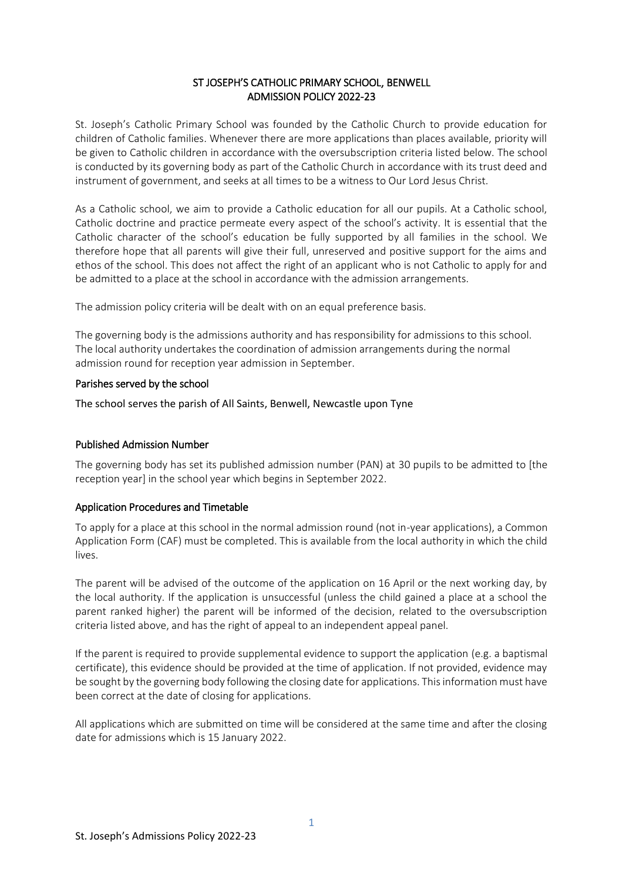### ST JOSEPH'S CATHOLIC PRIMARY SCHOOL, BENWELL ADMISSION POLICY 2022-23

St. Joseph's Catholic Primary School was founded by the Catholic Church to provide education for children of Catholic families. Whenever there are more applications than places available, priority will be given to Catholic children in accordance with the oversubscription criteria listed below. The school is conducted by its governing body as part of the Catholic Church in accordance with its trust deed and instrument of government, and seeks at all times to be a witness to Our Lord Jesus Christ.

As a Catholic school, we aim to provide a Catholic education for all our pupils. At a Catholic school, Catholic doctrine and practice permeate every aspect of the school's activity. It is essential that the Catholic character of the school's education be fully supported by all families in the school. We therefore hope that all parents will give their full, unreserved and positive support for the aims and ethos of the school. This does not affect the right of an applicant who is not Catholic to apply for and be admitted to a place at the school in accordance with the admission arrangements.

The admission policy criteria will be dealt with on an equal preference basis.

The governing body is the admissions authority and has responsibility for admissions to this school. The local authority undertakes the coordination of admission arrangements during the normal admission round for reception year admission in September.

### Parishes served by the school

The school serves the parish of All Saints, Benwell, Newcastle upon Tyne

## Published Admission Number

The governing body has set its published admission number (PAN) at 30 pupils to be admitted to [the reception year] in the school year which begins in September 2022.

## Application Procedures and Timetable

To apply for a place at this school in the normal admission round (not in-year applications), a Common Application Form (CAF) must be completed. This is available from the local authority in which the child lives.

The parent will be advised of the outcome of the application on 16 April or the next working day, by the local authority. If the application is unsuccessful (unless the child gained a place at a school the parent ranked higher) the parent will be informed of the decision, related to the oversubscription criteria listed above, and has the right of appeal to an independent appeal panel.

If the parent is required to provide supplemental evidence to support the application (e.g. a baptismal certificate), this evidence should be provided at the time of application. If not provided, evidence may be sought by the governing body following the closing date for applications. This information must have been correct at the date of closing for applications.

All applications which are submitted on time will be considered at the same time and after the closing date for admissions which is 15 January 2022.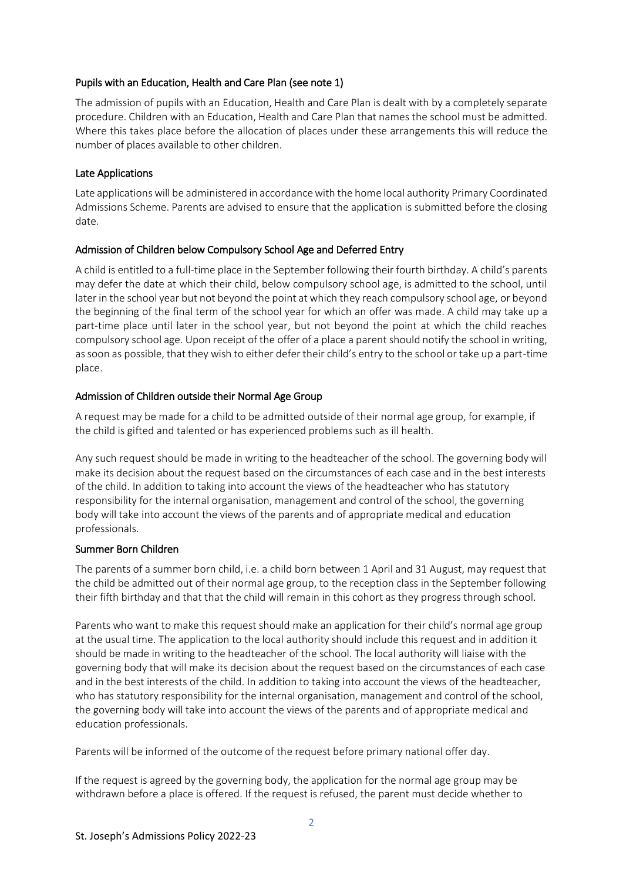### Pupils with an Education, Health and Care Plan (see note 1)

The admission of pupils with an Education, Health and Care Plan is dealt with by a completely separate procedure. Children with an Education, Health and Care Plan that names the school must be admitted. Where this takes place before the allocation of places under these arrangements this will reduce the number of places available to other children.

## Late Applications

Late applications will be administered in accordance with the home local authority Primary Coordinated Admissions Scheme. Parents are advised to ensure that the application is submitted before the closing date.

## Admission of Children below Compulsory School Age and Deferred Entry

A child is entitled to a full-time place in the September following their fourth birthday. A child's parents may defer the date at which their child, below compulsory school age, is admitted to the school, until later in the school year but not beyond the point at which they reach compulsory school age, or beyond the beginning of the final term of the school year for which an offer was made. A child may take up a part-time place until later in the school year, but not beyond the point at which the child reaches compulsory school age. Upon receipt of the offer of a place a parent should notify the school in writing, as soon as possible, that they wish to either defer their child's entry to the school or take up a part-time place.

### Admission of Children outside their Normal Age Group

A request may be made for a child to be admitted outside of their normal age group, for example, if the child is gifted and talented or has experienced problems such as ill health.

Any such request should be made in writing to the headteacher of the school. The governing body will make its decision about the request based on the circumstances of each case and in the best interests of the child. In addition to taking into account the views of the headteacher who has statutory responsibility for the internal organisation, management and control of the school, the governing body will take into account the views of the parents and of appropriate medical and education professionals.

#### Summer Born Children

The parents of a summer born child, i.e. a child born between 1 April and 31 August, may request that the child be admitted out of their normal age group, to the reception class in the September following their fifth birthday and that that the child will remain in this cohort as they progress through school.

Parents who want to make this request should make an application for their child's normal age group at the usual time. The application to the local authority should include this request and in addition it should be made in writing to the headteacher of the school. The local authority will liaise with the governing body that will make its decision about the request based on the circumstances of each case and in the best interests of the child. In addition to taking into account the views of the headteacher, who has statutory responsibility for the internal organisation, management and control of the school, the governing body will take into account the views of the parents and of appropriate medical and education professionals.

Parents will be informed of the outcome of the request before primary national offer day.

If the request is agreed by the governing body, the application for the normal age group may be withdrawn before a place is offered. If the request is refused, the parent must decide whether to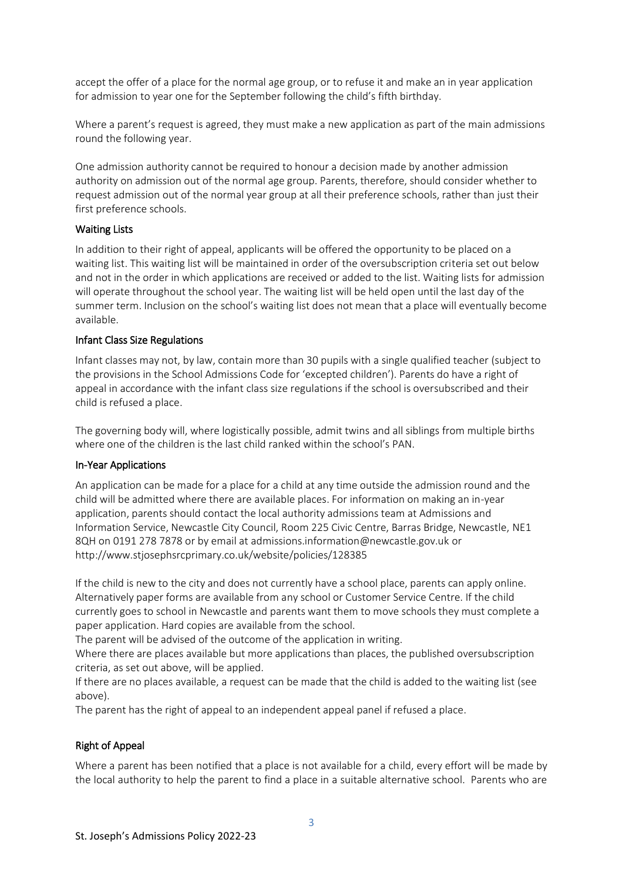accept the offer of a place for the normal age group, or to refuse it and make an in year application for admission to year one for the September following the child's fifth birthday.

Where a parent's request is agreed, they must make a new application as part of the main admissions round the following year.

One admission authority cannot be required to honour a decision made by another admission authority on admission out of the normal age group. Parents, therefore, should consider whether to request admission out of the normal year group at all their preference schools, rather than just their first preference schools.

#### Waiting Lists

In addition to their right of appeal, applicants will be offered the opportunity to be placed on a waiting list. This waiting list will be maintained in order of the oversubscription criteria set out below and not in the order in which applications are received or added to the list. Waiting lists for admission will operate throughout the school year. The waiting list will be held open until the last day of the summer term. Inclusion on the school's waiting list does not mean that a place will eventually become available.

#### Infant Class Size Regulations

Infant classes may not, by law, contain more than 30 pupils with a single qualified teacher (subject to the provisions in the School Admissions Code for 'excepted children'). Parents do have a right of appeal in accordance with the infant class size regulations if the school is oversubscribed and their child is refused a place.

The governing body will, where logistically possible, admit twins and all siblings from multiple births where one of the children is the last child ranked within the school's PAN.

#### In-Year Applications

An application can be made for a place for a child at any time outside the admission round and the child will be admitted where there are available places. For information on making an in-year application, parents should contact the local authority admissions team at Admissions and Information Service, Newcastle City Council, Room 225 Civic Centre, Barras Bridge, Newcastle, NE1 8QH on 0191 278 7878 or by email at admissions.information@newcastle.gov.uk or http://www.stjosephsrcprimary.co.uk/website/policies/128385

If the child is new to the city and does not currently have a school place, parents can apply online. Alternatively paper forms are available from any school or Customer Service Centre. If the child currently goes to school in Newcastle and parents want them to move schools they must complete a paper application. Hard copies are available from the school.

The parent will be advised of the outcome of the application in writing.

Where there are places available but more applications than places, the published oversubscription criteria, as set out above, will be applied.

If there are no places available, a request can be made that the child is added to the waiting list (see above).

The parent has the right of appeal to an independent appeal panel if refused a place.

## Right of Appeal

Where a parent has been notified that a place is not available for a child, every effort will be made by the local authority to help the parent to find a place in a suitable alternative school. Parents who are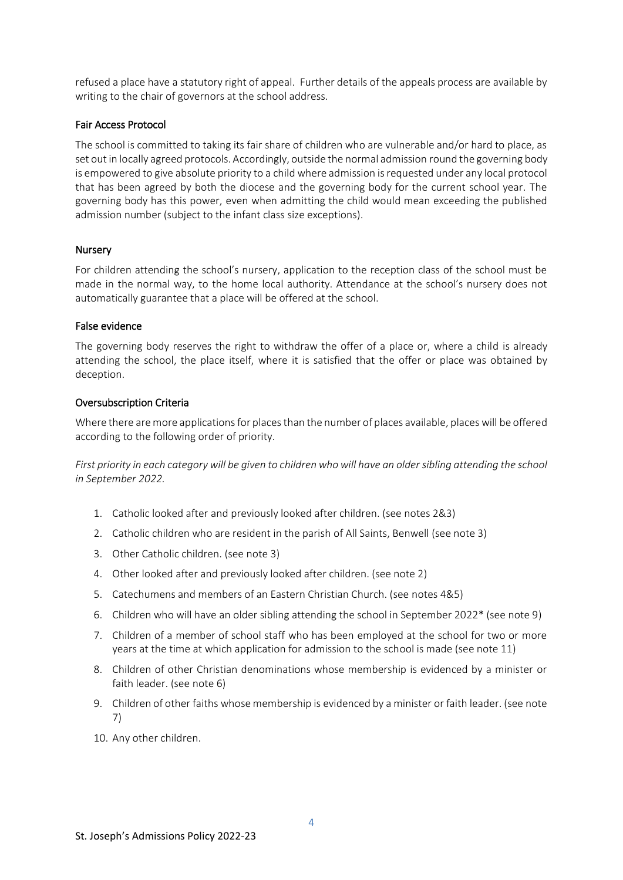refused a place have a statutory right of appeal. Further details of the appeals process are available by writing to the chair of governors at the school address.

#### Fair Access Protocol

The school is committed to taking its fair share of children who are vulnerable and/or hard to place, as set out in locally agreed protocols. Accordingly, outside the normal admission round the governing body is empowered to give absolute priority to a child where admission is requested under any local protocol that has been agreed by both the diocese and the governing body for the current school year. The governing body has this power, even when admitting the child would mean exceeding the published admission number (subject to the infant class size exceptions).

### Nursery

For children attending the school's nursery, application to the reception class of the school must be made in the normal way, to the home local authority. Attendance at the school's nursery does not automatically guarantee that a place will be offered at the school.

#### False evidence

The governing body reserves the right to withdraw the offer of a place or, where a child is already attending the school, the place itself, where it is satisfied that the offer or place was obtained by deception.

### Oversubscription Criteria

Where there are more applications for places than the number of places available, places will be offered according to the following order of priority.

*First priority in each category will be given to children who will have an older sibling attending the school in September 2022.*

- 1. Catholic looked after and previously looked after children. (see notes 2&3)
- 2. Catholic children who are resident in the parish of All Saints, Benwell (see note 3)
- 3. Other Catholic children. (see note 3)
- 4. Other looked after and previously looked after children. (see note 2)
- 5. Catechumens and members of an Eastern Christian Church. (see notes 4&5)
- 6. Children who will have an older sibling attending the school in September 2022\* (see note 9)
- 7. Children of a member of school staff who has been employed at the school for two or more years at the time at which application for admission to the school is made (see note 11)
- 8. Children of other Christian denominations whose membership is evidenced by a minister or faith leader. (see note 6)
- 9. Children of other faiths whose membership is evidenced by a minister or faith leader. (see note 7)
- 10. Any other children.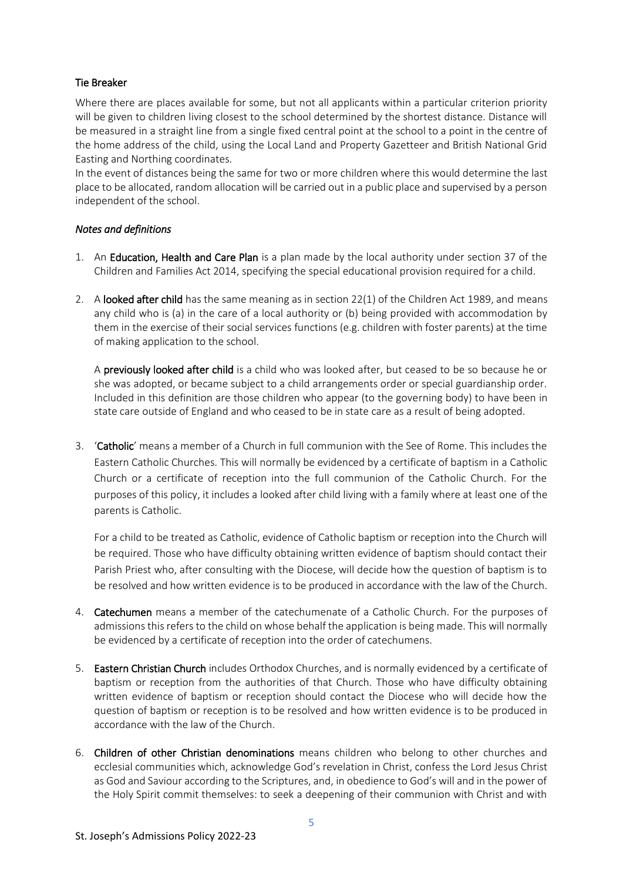# Tie Breaker

Where there are places available for some, but not all applicants within a particular criterion priority will be given to children living closest to the school determined by the shortest distance. Distance will be measured in a straight line from a single fixed central point at the school to a point in the centre of the home address of the child, using the Local Land and Property Gazetteer and British National Grid Easting and Northing coordinates.

In the event of distances being the same for two or more children where this would determine the last place to be allocated, random allocation will be carried out in a public place and supervised by a person independent of the school.

## *Notes and definitions*

- 1. An Education, Health and Care Plan is a plan made by the local authority under section 37 of the Children and Families Act 2014, specifying the special educational provision required for a child.
- 2. A looked after child has the same meaning as in section 22(1) of the Children Act 1989, and means any child who is (a) in the care of a local authority or (b) being provided with accommodation by them in the exercise of their social services functions (e.g. children with foster parents) at the time of making application to the school.

A previously looked after child is a child who was looked after, but ceased to be so because he or she was adopted, or became subject to a child arrangements order or special guardianship order. Included in this definition are those children who appear (to the governing body) to have been in state care outside of England and who ceased to be in state care as a result of being adopted.

3. 'Catholic' means a member of a Church in full communion with the See of Rome. This includes the Eastern Catholic Churches. This will normally be evidenced by a certificate of baptism in a Catholic Church or a certificate of reception into the full communion of the Catholic Church. For the purposes of this policy, it includes a looked after child living with a family where at least one of the parents is Catholic.

For a child to be treated as Catholic, evidence of Catholic baptism or reception into the Church will be required. Those who have difficulty obtaining written evidence of baptism should contact their Parish Priest who, after consulting with the Diocese, will decide how the question of baptism is to be resolved and how written evidence is to be produced in accordance with the law of the Church.

- 4. **Catechumen** means a member of the catechumenate of a Catholic Church. For the purposes of admissions this refers to the child on whose behalf the application is being made. This will normally be evidenced by a certificate of reception into the order of catechumens.
- 5. Eastern Christian Church includes Orthodox Churches, and is normally evidenced by a certificate of baptism or reception from the authorities of that Church. Those who have difficulty obtaining written evidence of baptism or reception should contact the Diocese who will decide how the question of baptism or reception is to be resolved and how written evidence is to be produced in accordance with the law of the Church.
- 6. Children of other Christian denominations means children who belong to other churches and ecclesial communities which, acknowledge God's revelation in Christ, confess the Lord Jesus Christ as God and Saviour according to the Scriptures, and, in obedience to God's will and in the power of the Holy Spirit commit themselves: to seek a deepening of their communion with Christ and with